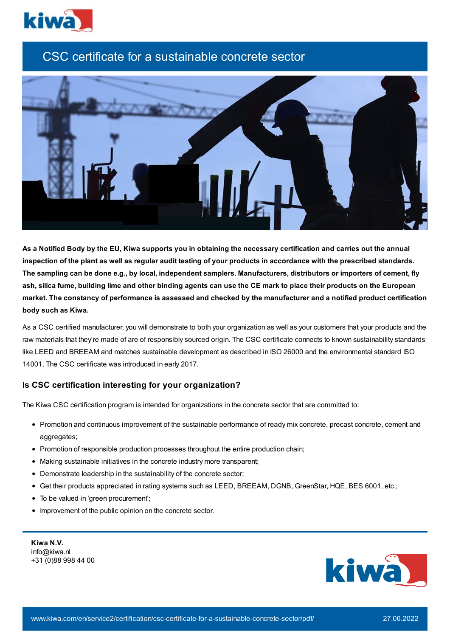

# CSC certificate for a sustainable concrete sector



As a Notified Body by the EU, Kiwa supports you in obtaining the necessary certification and carries out the annual inspection of the plant as well as regular audit testing of your products in accordance with the prescribed standards. The sampling can be done e.g., by local, independent samplers. Manufacturers, distributors or importers of cement, fly ash, silica fume, building lime and other binding agents can use the CE mark to place their products on the European market. The constancy of performance is assessed and checked by the manufacturer and a notified product certification **body such as Kiwa.**

As a CSC certified manufacturer, you will demonstrate to both your organization as well as your customers that your products and the raw materials that they're made of are of responsibly sourced origin. The CSC certificate connects to known sustainability standards like LEED and BREEAM and matches sustainable development as described in ISO 26000 and the environmental standard ISO 14001. The CSC certificate was introduced in early 2017.

# **Is CSC certification interesting for your organization?**

The Kiwa CSC certification program is intended for organizations in the concrete sector that are committed to:

- Promotion and continuous improvement of the sustainable performance of ready mix concrete, precast concrete, cement and aggregates;
- Promotion of responsible production processes throughout the entire production chain;
- Making sustainable initiatives in the concrete industry more transparent;
- Demonstrate leadership in the sustainability of the concrete sector;
- Get their products appreciated in rating systems such as LEED, BREEAM, DGNB, GreenStar, HQE, BES 6001, etc.;
- To be valued in 'green procurement';
- Improvement of the public opinion on the concrete sector.

| Kiwa N.V.           |
|---------------------|
| info@kiwa.nl        |
| +31 (0)88 998 44 00 |

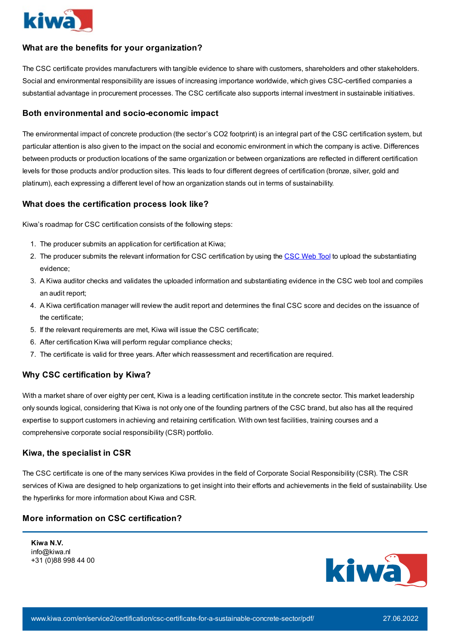

# **What are the benefits for your organization?**

The CSC certificate provides manufacturers with tangible evidence to share with customers, shareholders and other stakeholders. Social and environmental responsibility are issues of increasing importance worldwide, which gives CSC-certified companies a substantial advantage in procurement processes. The CSC certificate also supports internal investment in sustainable initiatives.

#### **Both environmental and socio-economic impact**

The environmental impact of concrete production (the sector's CO2 footprint) is an integral part of the CSC certification system, but particular attention is also given to the impact on the social and economic environment in which the company is active. Differences between products or production locations of the same organization or between organizations are reflected in different certification levels for those products and/or production sites. This leads to four different degrees of certification (bronze, silver, gold and platinum), each expressing a different level of how an organization stands out in terms of sustainability.

#### **What does the certification process look like?**

Kiwa's roadmap for CSC certification consists of the following steps:

- 1. The producer submits an application for certification at Kiwa;
- 2. The producer submits the relevant information for [CSC](https://toolbox.concretesustainabilitycouncil.com/) certification by using the CSC Web Tool to upload the substantiating evidence;
- 3. A Kiwa auditor checks and validates the uploaded information and substantiating evidence in the CSC web tool and compiles an audit report;
- 4. A Kiwa certification manager will review the audit report and determines the final CSC score and decides on the issuance of the certificate;
- 5. If the relevant requirements are met, Kiwa will issue the CSC certificate;
- 6. After certification Kiwa will perform regular compliance checks;
- 7. The certificate is valid for three years. After which reassessment and recertification are required.

### **Why CSC certification by Kiwa?**

With a market share of over eighty per cent, Kiwa is a leading certification institute in the concrete sector. This market leadership only sounds logical, considering that Kiwa is not only one of the founding partners of the CSC brand, but also has all the required expertise to support customers in achieving and retaining certification. With own test facilities, training courses and a comprehensive corporate social responsibility (CSR) portfolio.

#### **Kiwa, the specialist in CSR**

The CSC certificate is one of the many services Kiwa provides in the field of Corporate Social Responsibility (CSR). The CSR services of Kiwa are designed to help organizations to get insight into their efforts and achievements in the field of sustainability. Use the hyperlinks for more information about Kiwa and CSR.

## **More information on CSC certification?**

**Kiwa N.V.** info@kiwa.nl +31 (0)88 998 44 00